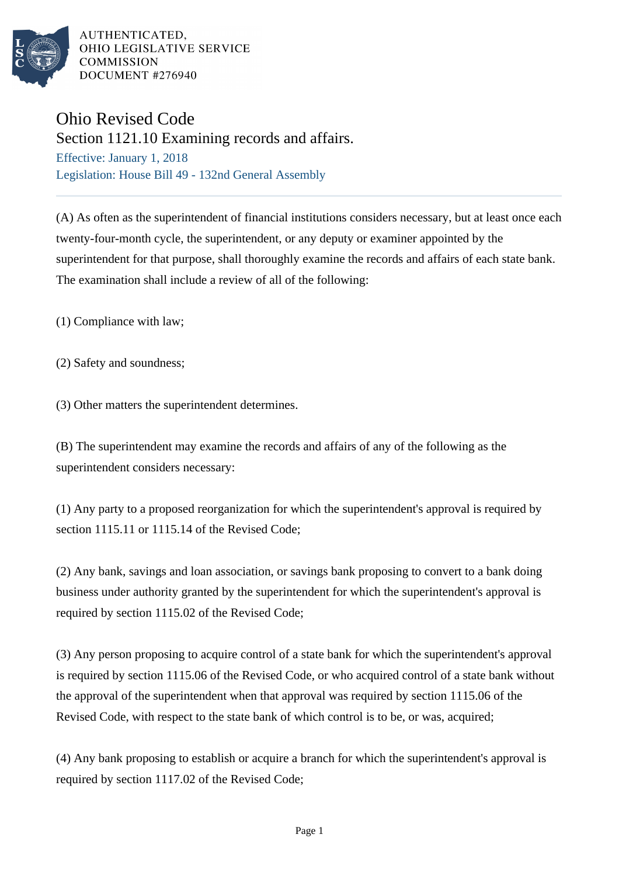

AUTHENTICATED. OHIO LEGISLATIVE SERVICE **COMMISSION** DOCUMENT #276940

## Ohio Revised Code

Section 1121.10 Examining records and affairs.

Effective: January 1, 2018 Legislation: House Bill 49 - 132nd General Assembly

(A) As often as the superintendent of financial institutions considers necessary, but at least once each twenty-four-month cycle, the superintendent, or any deputy or examiner appointed by the superintendent for that purpose, shall thoroughly examine the records and affairs of each state bank. The examination shall include a review of all of the following:

(1) Compliance with law;

(2) Safety and soundness;

(3) Other matters the superintendent determines.

(B) The superintendent may examine the records and affairs of any of the following as the superintendent considers necessary:

(1) Any party to a proposed reorganization for which the superintendent's approval is required by section 1115.11 or 1115.14 of the Revised Code;

(2) Any bank, savings and loan association, or savings bank proposing to convert to a bank doing business under authority granted by the superintendent for which the superintendent's approval is required by section 1115.02 of the Revised Code;

(3) Any person proposing to acquire control of a state bank for which the superintendent's approval is required by section 1115.06 of the Revised Code, or who acquired control of a state bank without the approval of the superintendent when that approval was required by section 1115.06 of the Revised Code, with respect to the state bank of which control is to be, or was, acquired;

(4) Any bank proposing to establish or acquire a branch for which the superintendent's approval is required by section 1117.02 of the Revised Code;